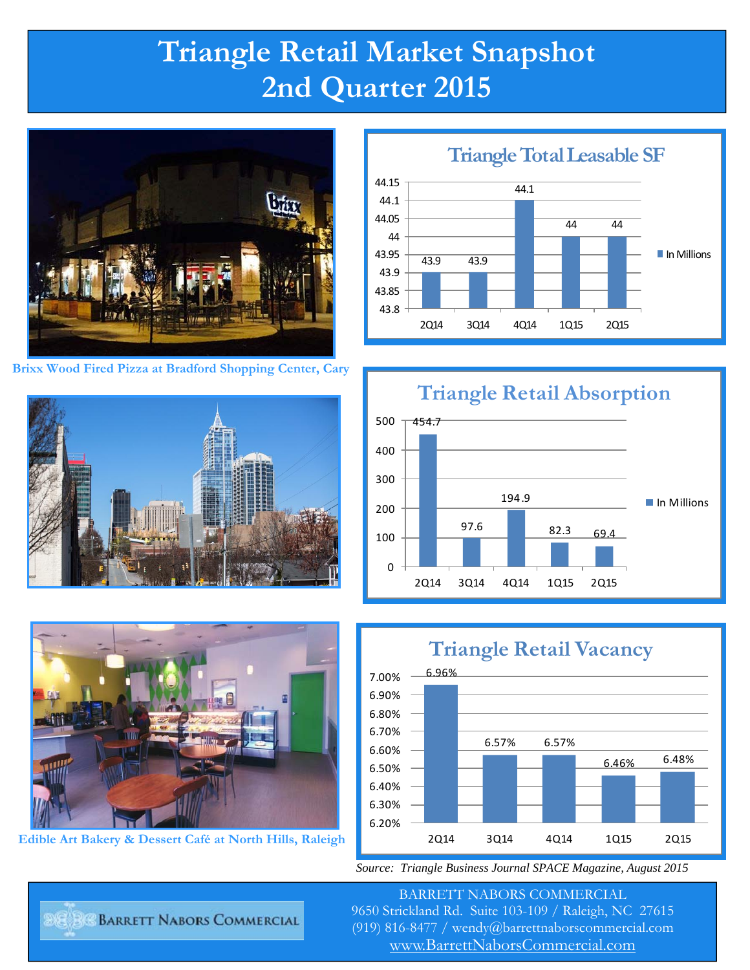## **Triangle Retail Market Snapshot 2nd Quarter 2015**



**Brixx Wood Fired Pizza at Bradford Shopping Center, Cary** 





**Edible Art Bakery & Dessert Café at North Hills, Raleigh** 

43.9 43.9 44.1 44 44 43.8 43.85 43.9 43.95 44 44.05 44.1 44.15 2Q14 3Q14 4Q14 1Q15 2Q15 **Triangle Total Leasable SF** In Millions







*Source: Triangle Business Journal SPACE Magazine, August 2015* 

BARRETT NABORS COMMERCIAL 9650 Strickland Rd. Suite 103-109 / Raleigh, NC 27615 (919) 816-8477 / wendy@barrettnaborscommercial.com [www.BarrettNaborsCommercial.com](http://www.barrettnaborscommercial.com)